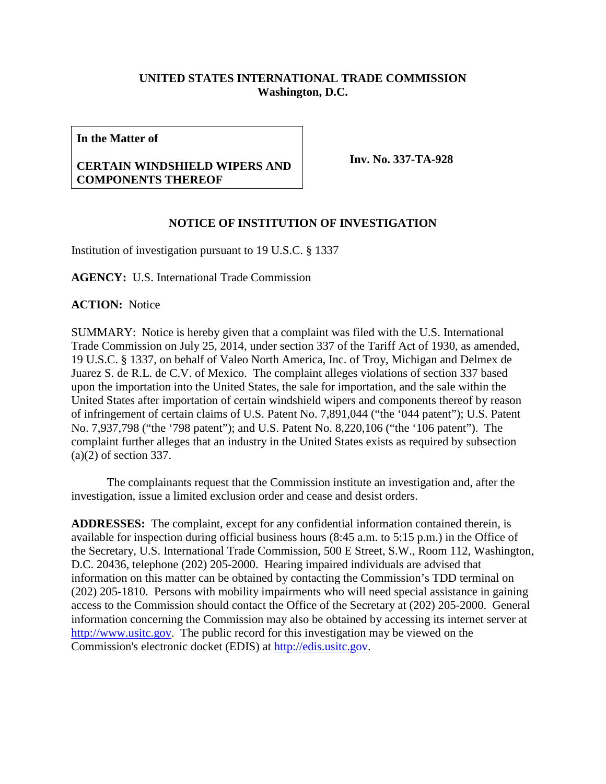## **UNITED STATES INTERNATIONAL TRADE COMMISSION Washington, D.C.**

**In the Matter of**

## **CERTAIN WINDSHIELD WIPERS AND COMPONENTS THEREOF**

**Inv. No. 337-TA-928**

## **NOTICE OF INSTITUTION OF INVESTIGATION**

Institution of investigation pursuant to 19 U.S.C. § 1337

**AGENCY:** U.S. International Trade Commission

**ACTION:** Notice

SUMMARY: Notice is hereby given that a complaint was filed with the U.S. International Trade Commission on July 25, 2014, under section 337 of the Tariff Act of 1930, as amended, 19 U.S.C. § 1337, on behalf of Valeo North America, Inc. of Troy, Michigan and Delmex de Juarez S. de R.L. de C.V. of Mexico. The complaint alleges violations of section 337 based upon the importation into the United States, the sale for importation, and the sale within the United States after importation of certain windshield wipers and components thereof by reason of infringement of certain claims of U.S. Patent No. 7,891,044 ("the '044 patent"); U.S. Patent No. 7,937,798 ("the '798 patent"); and U.S. Patent No. 8,220,106 ("the '106 patent"). The complaint further alleges that an industry in the United States exists as required by subsection (a)(2) of section 337.

The complainants request that the Commission institute an investigation and, after the investigation, issue a limited exclusion order and cease and desist orders.

**ADDRESSES:** The complaint, except for any confidential information contained therein, is available for inspection during official business hours (8:45 a.m. to 5:15 p.m.) in the Office of the Secretary, U.S. International Trade Commission, 500 E Street, S.W., Room 112, Washington, D.C. 20436, telephone (202) 205-2000. Hearing impaired individuals are advised that information on this matter can be obtained by contacting the Commission's TDD terminal on (202) 205-1810. Persons with mobility impairments who will need special assistance in gaining access to the Commission should contact the Office of the Secretary at (202) 205-2000. General information concerning the Commission may also be obtained by accessing its internet server at [http://www.usitc.gov.](http://www.usitc.gov/) The public record for this investigation may be viewed on the Commission's electronic docket (EDIS) at [http://edis.usitc.gov.](http://edis.usitc.gov/)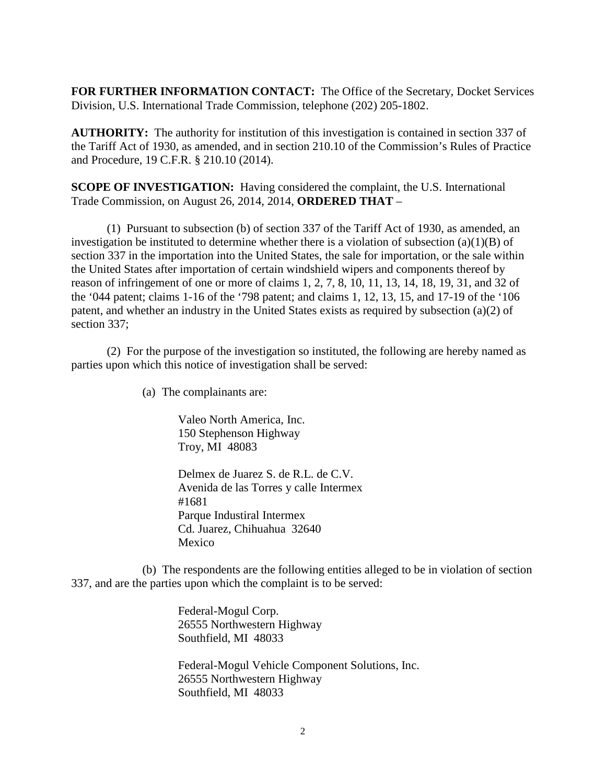**FOR FURTHER INFORMATION CONTACT:** The Office of the Secretary, Docket Services Division, U.S. International Trade Commission, telephone (202) 205-1802.

**AUTHORITY:** The authority for institution of this investigation is contained in section 337 of the Tariff Act of 1930, as amended, and in section 210.10 of the Commission's Rules of Practice and Procedure, 19 C.F.R. § 210.10 (2014).

**SCOPE OF INVESTIGATION:** Having considered the complaint, the U.S. International Trade Commission, on August 26, 2014, 2014, **ORDERED THAT** –

(1) Pursuant to subsection (b) of section 337 of the Tariff Act of 1930, as amended, an investigation be instituted to determine whether there is a violation of subsection  $(a)(1)(B)$  of section 337 in the importation into the United States, the sale for importation, or the sale within the United States after importation of certain windshield wipers and components thereof by reason of infringement of one or more of claims 1, 2, 7, 8, 10, 11, 13, 14, 18, 19, 31, and 32 of the '044 patent; claims 1-16 of the '798 patent; and claims 1, 12, 13, 15, and 17-19 of the '106 patent, and whether an industry in the United States exists as required by subsection (a)(2) of section 337;

(2) For the purpose of the investigation so instituted, the following are hereby named as parties upon which this notice of investigation shall be served:

(a) The complainants are:

Valeo North America, Inc. 150 Stephenson Highway Troy, MI 48083

Delmex de Juarez S. de R.L. de C.V. Avenida de las Torres y calle Intermex #1681 Parque Industiral Intermex Cd. Juarez, Chihuahua 32640 Mexico

(b) The respondents are the following entities alleged to be in violation of section 337, and are the parties upon which the complaint is to be served:

> Federal-Mogul Corp. 26555 Northwestern Highway Southfield, MI 48033

Federal-Mogul Vehicle Component Solutions, Inc. 26555 Northwestern Highway Southfield, MI 48033